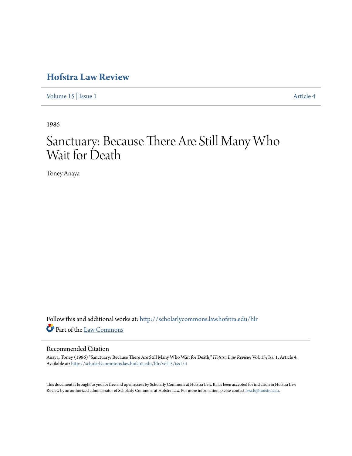## **[Hofstra Law Review](http://scholarlycommons.law.hofstra.edu/hlr?utm_source=scholarlycommons.law.hofstra.edu%2Fhlr%2Fvol15%2Fiss1%2F4&utm_medium=PDF&utm_campaign=PDFCoverPages)**

[Volume 15](http://scholarlycommons.law.hofstra.edu/hlr/vol15?utm_source=scholarlycommons.law.hofstra.edu%2Fhlr%2Fvol15%2Fiss1%2F4&utm_medium=PDF&utm_campaign=PDFCoverPages) | [Issue 1](http://scholarlycommons.law.hofstra.edu/hlr/vol15/iss1?utm_source=scholarlycommons.law.hofstra.edu%2Fhlr%2Fvol15%2Fiss1%2F4&utm_medium=PDF&utm_campaign=PDFCoverPages) [Article 4](http://scholarlycommons.law.hofstra.edu/hlr/vol15/iss1/4?utm_source=scholarlycommons.law.hofstra.edu%2Fhlr%2Fvol15%2Fiss1%2F4&utm_medium=PDF&utm_campaign=PDFCoverPages)

1986

# Sanctuary: Because There Are Still Many Who Wait for Death

Toney Anaya

Follow this and additional works at: [http://scholarlycommons.law.hofstra.edu/hlr](http://scholarlycommons.law.hofstra.edu/hlr?utm_source=scholarlycommons.law.hofstra.edu%2Fhlr%2Fvol15%2Fiss1%2F4&utm_medium=PDF&utm_campaign=PDFCoverPages) Part of the [Law Commons](http://network.bepress.com/hgg/discipline/578?utm_source=scholarlycommons.law.hofstra.edu%2Fhlr%2Fvol15%2Fiss1%2F4&utm_medium=PDF&utm_campaign=PDFCoverPages)

#### Recommended Citation

Anaya, Toney (1986) "Sanctuary: Because There Are Still Many Who Wait for Death," *Hofstra Law Review*: Vol. 15: Iss. 1, Article 4. Available at: [http://scholarlycommons.law.hofstra.edu/hlr/vol15/iss1/4](http://scholarlycommons.law.hofstra.edu/hlr/vol15/iss1/4?utm_source=scholarlycommons.law.hofstra.edu%2Fhlr%2Fvol15%2Fiss1%2F4&utm_medium=PDF&utm_campaign=PDFCoverPages)

This document is brought to you for free and open access by Scholarly Commons at Hofstra Law. It has been accepted for inclusion in Hofstra Law Review by an authorized administrator of Scholarly Commons at Hofstra Law. For more information, please contact [lawcls@hofstra.edu](mailto:lawcls@hofstra.edu).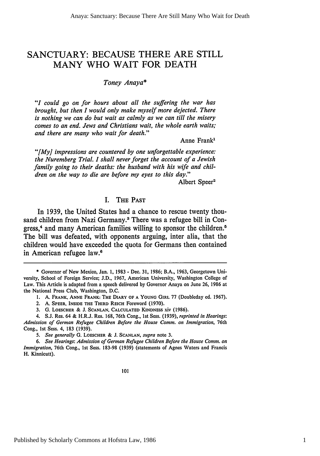## **SANCTUARY: BECAUSE** THERE ARE STILL MANY WHO WAIT FOR **DEATH**

*Toney Anaya\**

*"I could go on for hours about all the suffering the war has brought, but then I would only make myself more dejected. There is nothing we can do but wait as calmly as we can till the misery comes to an end. Jews and Christians wait, the whole earth waits; and there are many who wait for death."*

Anne Frank1

*"[My] impressions are countered by one unforgettable experience: the Nuremberg Trial. I shall never forget the account of a Jewish family going to their deaths: the husband with his wife and children on the way to die are before my eyes to this day."*

Albert Speer<sup>2</sup>

#### I. THE **PAST**

In **1939,** the United States had a chance to rescue twenty thousand children from Nazi Germany.<sup>3</sup> There was a refugee bill in Congress,<sup>4</sup> and many American families willing to sponsor the children.<sup>5</sup> The bill was defeated, with opponents arguing, inter alia, that the children would have exceeded the quota for Germans then contained in American refugee law.<sup>6</sup>

<sup>\*</sup> Governor of New Mexico, Jan. 1, 1983 - Dec. 31, 1986; B.A., 1963, Georgetown University, School of Foreign Service; J.D., 1967, American University, Washington College of Law. This Article is adapted from a speech delivered by Governor Anaya on June 26, 1986 at the National Press Club, Washington, D.C.

<sup>1.</sup> A. FRANK, **ANNE FRANK: THE** DIARY **OF A YOUNG GIRL** 77 (Doubleday ed. 1967).

<sup>2.</sup> A. SPEER, INSIDE **THE THIRD** REICH Foreword (1970).

**<sup>3.</sup>** G. **LOESCHER** & J. **SCANLAN. CALCULATED KINDNESS** XiV **(1986).**

<sup>4.</sup> S.J. Res. 64 & H.R.J. Res. 168, 76th Cong., 1st Sess. (1939), *reprinted in Hearings:* Admission of German Refugee Children Before the House Comm. on Immigration, 76th Cong., Ist Sess. 4, 183 (1939).

*<sup>5.</sup> See generally* G. LOESCHER **&** J. **SCANLAN,** *supra* note 3.

*<sup>6.</sup> See Hearings: Admission of German Refugee Children Before the House Comm. on Immigration,* 76th Cong., 1st Sess. 183-98 (1939) (statements of Agnes Waters and Francis H. Kinnicutt).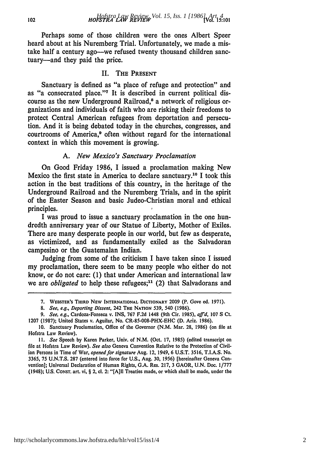### *HOFSTRA LAW REVIEW* **[Vol. 15:101** *Hofstra Law Review, Vol. 15, Iss. 1 [1986], Art. 4*

Perhaps some of those children were the ones Albert Speer heard about at his Nuremberg Trial. Unfortunately, we made a mistake half a century ago--we refused twenty thousand children sanctuary-and they paid the price.

#### II. **THE PRESENT**

Sanctuary is defined as "a place of refuge and protection" and as "a consecrated place."<sup>7</sup> It is described in current political discourse as the new Underground Railroad,<sup>8</sup> a network of religious organizations and individuals of faith who are risking their freedoms to protect Central American refugees from deportation and persecution. And it is being debated today in the churches, congresses, and courtrooms of America,<sup>9</sup> often without regard for the international context in which this movement is growing.

#### *A. New Mexico's Sanctuary Proclamation*

On Good Friday 1986, I issued a proclamation making New Mexico the first state in America to declare sanctuary.10 I took this action in the best traditions of this country, in the heritage of the Underground Railroad and the Nuremberg Trials, and in the spirit of the Easter Season and basic Judeo-Christian moral and ethical principles.

I was proud to issue a sanctuary proclamation in the one hundredth anniversary year of our Statue of Liberty, Mother of Exiles. There are many desperate people in our world, but few as desperate, as victimized, and as fundamentally exiled as the Salvadoran campesino or the Guatemalan Indian.

Judging from some of the criticism I have taken since I issued my proclamation, there seem to be many people who either do not know, or do not care: (1) that under American and international law we are *obligated* to help these refugees;<sup>11</sup> (2) that Salvadorans and

<sup>7.</sup> **WEBSTER'S THIRD NEW INTERNATIONAL DICTIONARY 2009** (P. Gove ed. **1971).**

*<sup>8.</sup> See, e.g., Deporting Dissent,* 242 **THE NATION** 539, 540 **(1986).**

*<sup>9.</sup> See, e.g.,* Cardoza-Fonseca v. INS, 767 F.2d 1448 (9th Cir. 1985), *affid,* 107 S Ct. 1207 **(1987);** United States v. Aguilar, No. CR-85-008-PHX-EHC (D. Ariz. 1986).

<sup>10.</sup> Sanctuary Proclamation, Office of the Governor (N.M. Mar. 28, 1986) (on file at Hofstra Law Review).

*ii. See* Speech by Karen Parker, Univ. of N.M. (Oct. 17, 1985) (edited transcript on **file** at Hofstra Law Review). *See also* Geneva Convention Relative to the Protection of Civil**ian** Persons in Time of War, *opened for signature* Aug. 12, 1949, 6 U.S.T. 3516, T.I.A.S. No. **3365,** 75 U.N.T.S. 287 (entered into force for U.S., Aug. 30, 1956) [hereinafter Geneva Convention]; Universal Declaration of Human Rights, G.A. Res. 217, **3** GAOR, **U.N.** Doc. 1/777 (1948); U.S. CONsT. art. vi, § **2,** cl. 2: **"[A]II** Treaties made, or which shall be made, under the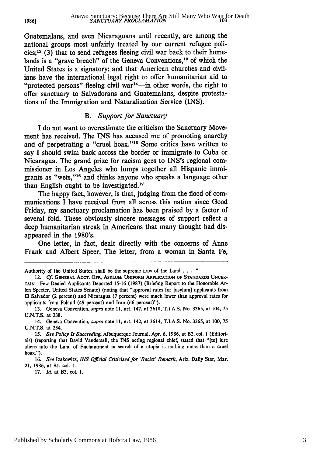Guatemalans, and even Nicaraguans until recently, are among the national groups most unfairly treated by our current refugee policies; $^{12}$  (3) that to send refugees fleeing civil war back to their homelands is a "grave breach" of the Geneva Conventions,<sup>13</sup> of which the United States is a signatory; and that American churches and civilians have the international legal right to offer humanitarian aid to "protected persons" fleeing civil war<sup>14</sup>--in other words, the right to offer sanctuary to Salvadorans and Guatemalans, despite protestations of the Immigration and Naturalization Service (INS).

#### *B. Support for Sanctuary*

I do not want to overestimate the criticism the Sanctuary Movement has received. The INS has accused me of promoting anarchy and of perpetrating a "cruel hoax."<sup>15</sup> Some critics have written to say I should swim back across the border or immigrate to Cuba or Nicaragua. The grand prize for racism goes to INS's regional commissioner in Los Angeles who lumps together all Hispanic immigrants as "wets,""6 and thinks anyone who speaks a language other than English ought to be investigated.17

The happy fact, however, is that, judging from the flood of communications I have received from all across this nation since Good Friday, my sanctuary proclamation has been praised by a factor of several fold. These obviously sincere messages of support reflect a deep humanitarian streak in Americans that many thought had disappeared in the 1980's.

One letter, in fact, dealt directly with the concerns of Anne Frank and Albert Speer. The letter, from a woman in Santa Fe,

17. *Id.* at B3, col. 1.

**1986l**

Authority of the United States, shall be the supreme Law of the Land . . . ."

<sup>12.</sup> *Cf.* **GENERAL** ACCT. **OFF., ASYLUM: UNIFORM APPLICATION OF** STANDARDS **UNCER-**TAIN-Few Denied Applicants Deported **15-16 (1987)** (Briefing Report to the Honorable Arlen Specter, United States Senate) (noting that "approval rates for [asylum] applicants from **El** Salvador (2 percent) and Nicaragua **(7** percent) were much lower than approval rates for applicants from Poland (49 percent) and Iran **(66** percent)").

**<sup>13.</sup>** Geneva Convention, *supra* note **11,** art. 147, at **3618, T.I.A.S.** No. **3365,** at 104, **75 U.N.T.S.** at **238.**

<sup>14.</sup> Geneva Convention, *supra* note **11,** art. 142, at 3614, **T.I.A.S.** No. **3365,** at **100,** 75 **U.N.T.S.** at 234.

*<sup>15.</sup> See Policy Is Succeeding,* Albuquerque Journal, Apr. 6, **1986,** at B2, col. **1** (Editorials) (reporting that David Vandersall, the **INS** acting regional chief, stated that "[to] lure aliens into the Land of Enchantment in search of a utopia is nothing more than a cruel hoax.").

<sup>16.</sup> *See* Izakowitz, *INS Official Criticized for 'Racist' Remark,* Ariz. Daily Star, Mar. 21, 1986, at BI, col. 1.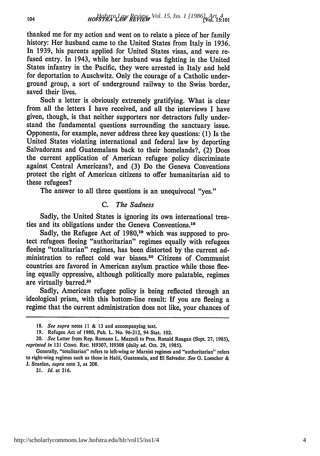thanked me for my action and went on to relate a piece of her family history: Her husband came to the United States from Italy in 1936. In 1939, his parents applied for United States visas, and were refused entry. In 1943, while her husband was fighting in the United States infantry in the Pacific, they were arrested in Italy and held for deportation to Auschwitz. Only the courage of a Catholic underground group, a sort of underground railway to the Swiss border, saved their lives.

Such a letter is obviously extremely gratifying. What is clear from all the letters I have received, and all the interviews I have given, though, is that neither supporters nor detractors fully understand the fundamental questions surrounding the sanctuary issue. Opponents, for example, never address three key questions: (1) Is the United States violating international and federal law by deporting Salvadorans and Guatemalans back to their homelands?, (2) Does the current application of American refugee policy discriminate against Central Americans?, and (3) Do the Geneva Conventions protect the right of American citizens to offer humanitarian aid to these refugees?

The answer to all three questions is an unequivocal "yes."

#### *C. The Sadness*

Sadly, the United States is ignoring its own international treaties and its obligations under the Geneva Conventions.<sup>18</sup>

Sadly, the Refugee Act of **1980,19** which was supposed to protect refugees fleeing "authoritarian" regimes equally with refugees fleeing "totalitarian" regimes, has been distorted by the current administration to reflect cold war biases.20 Citizens of Communist countries are favored in American asylum practice while those fleeing equally oppressive, although politically more palatable, regimes are virtually barred.<sup>21</sup>

Sadly, American refugee policy is being reflected through an ideological prism, with this bottom-line result: If you are fleeing a regime that the current administration does not like, your chances of

21. *Id.* at 216.

**<sup>18.</sup>** See supra notes 11 & **13** and accompanying text.

<sup>19.</sup> Refugee Act of 1980, Pub. L. No. 96-212, 94 Stat. 102.

<sup>20.</sup> *See* Letter from Rep. Romano L. Mazzoli to Pres. Ronald Reagan (Sept. 27, 1985), reprinted *in* 131 **CONG.** REc. H9307, H9308 (daily ed. Oct. 29, 1985).

Generally, "totalitarian" refers to left-wing or Marxist regimes and "authoritarian" refers to right-wing regimes such as those in Haiti, Guatemala, and El Salvador. *See* G. Loescher & **J.** Scanlan, *supra* note **3,** at 208.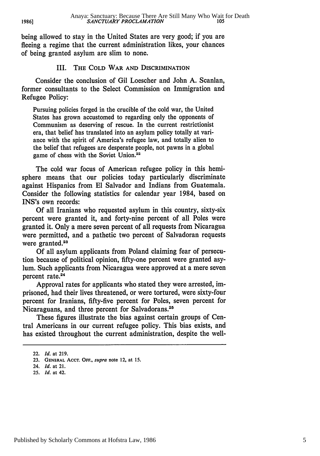being allowed to stay in the United States are very good; if you are fleeing a regime that the current administration likes, your chances of being granted asylum are slim to none.

#### III. **THE COLD WAR AND** DISCRIMINATION

Consider the conclusion of Gil Loescher and John A. Scanlan, former consultants to the Select Commission **on** Immigration and Refugee Policy:

Pursuing policies forged in the crucible of the cold war, the United States has grown accustomed to regarding only the opponents of Communism as deserving of rescue. In the current restrictionist era, that belief has translated into an asylum policy totally at variance with the spirit of America's refugee law, and totally alien to the belief that refugees are desperate people, not pawns in a global game of chess with the Soviet Union.<sup>22</sup>

The cold war focus of American refugee policy in this hemisphere means that our policies today particularly discriminate against Hispanics from El Salvador and Indians from Guatemala. Consider the following statistics for calendar year 1984, based on INS's own records:

Of all Iranians who requested asylum in this country, sixty-six percent were granted it, and forty-nine percent of all Poles were granted it. Only a mere seven percent of all requests from Nicaragua were permitted, and a pathetic two percent of Salvadoran requests were granted.<sup>23</sup>

Of all asylum applicants from Poland claiming fear of persecution because of political opinion, fifty-one percent were granted asylum. Such applicants from Nicaragua were approved at a mere seven percent rate.<sup>24</sup>

Approval rates for applicants who stated they were arrested, imprisoned, had their lives threatened, or were tortured, were sixty-four percent for Iranians, fifty-five percent for Poles, seven percent for Nicaraguans, and three percent for Salvadorans.<sup>25</sup>

These figures illustrate the bias against certain groups of Central Americans in our current refugee policy. This bias exists, and has existed throughout the current administration, despite the well-

<sup>22.</sup> *Id.* at **219.**

<sup>23.</sup> **GENERAL** AccT. **OFF.,** supra note 12, at **15.**

<sup>24.</sup> *Id.* at 21.

**<sup>25.</sup>** *Id.* at 42.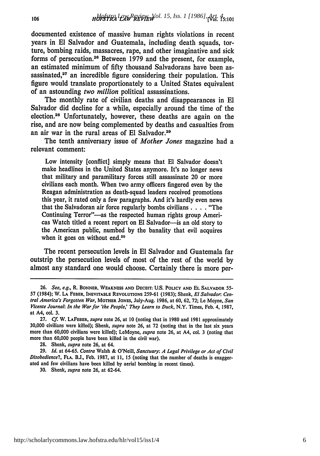documented existence of massive human rights violations in recent years in **El** Salvador and Guatemala, including death squads, torture, bombing raids, massacres, rape, and other imaginative and sick forms of persecution. 26 Between **1979** and the present, for example, an estimated minimum of **fifty** thousand Salvadorans have been assassinated, $27$  an incredible figure considering their population. This figure would translate proportionately to a United States equivalent of an astounding *two million* political assassinations.

The monthly rate of civilian deaths and disappearances in **El** Salvador did decline for a while, especially around the time of the election.28 Unfortunately, however, these deaths are again on the rise, and are now being complemented **by** deaths and casualties from an air war in the rural areas of **El** Salvador.29

The tenth anniversary issue of *Mother Jones* magazine had a relevant comment:

Low intensity [conflict] simply means that **El** Salvador doesn't make headlines in the United States anymore. It's no longer news that military and paramilitary forces still assassinate 20 or more civilians each month. When two army officers fingered even **by** the Reagan administration as death-squad leaders received promotions this year, it rated only a few paragraphs. And it's hardly even news that the Salvadoran air force regularly bombs civilians **. . . .** "The Continuing Terror"—as the respected human rights group Americas Watch titled a recent report on **El** Salvador-is an old story to the American public, numbed **by** the banality that evil acquires when it goes on without end.<sup>30</sup>

The recent persecution levels in **El** Salvador and Guatemala far outstrip the persecution levels of most of the rest of the world **by** almost any standard one would choose. Certainly there is more per-

**<sup>26.</sup>** See, e.g., **R. BONNER, WEAKNESS AND DECEIT: US. POLICY AND EL SALVADOR 55- 57** (1984); **W. LA FEBER, INEVITABLE REVOLUTIONS 259-61 (1983);** Shenk, **El** Salvador. Central America's Forgotten War, **MOTHER JONES,** July-Aug. **1986,** at **60, 62, 72;** Le Moyne, San Vicente Journal: *In* the War for *'the* People,' They Learn to Duck, N.Y. **Times,** Feb. 4, **1987,** at A4, col. **3.**

**<sup>27.</sup>** *Cf.* W. **LAFEBER,** supra note **26,** at **10** (noting that in **1980** and **1981** approximately **30,000** civilians were killed); Shenk, supra note **26,** at **72** (noting that in the last six years more than **60,000** civilians were killed); LeMoyne, supra note **26,** at A4, col. **3** (noting that more than **60,000** people have been killed in the civil war).

**<sup>28.</sup>** Shenk, supra note **26,** at 64.

**<sup>29.</sup>** *Id.* at **64-65.** *Contra* Walsh **&** O'Neill, Sanctuary: **A** Legal Privilege *or Act of Civil Disobedience?,* **FLA. BJ.,** Feb. **1987,** at **11, 15** (noting that the number of deaths is exaggerated and few civilians have been killed **by** aerial bombing in recent times).

**<sup>30.</sup>** Shenk, supra note **26,** at 62-64.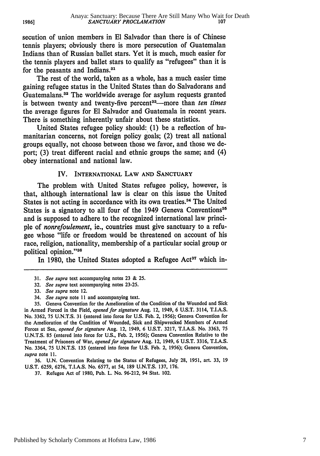secution of union members in **El** Salvador than there is of Chinese tennis players; obviously there is more persecution of Guatemalan Indians than of Russian ballet stars. Yet it is much, much easier for the tennis players and ballet stars to qualify as "refugees" than it is for the peasants and Indians.<sup>31</sup>

The rest of the world, taken as a whole, has a much easier time gaining refugee status in the United States than do Salvadorans and Guatemalans. 32 The worldwide average for asylum requests granted is between twenty and twenty-five percent<sup>33</sup>—more than *ten times* the average figures for **El** Salvador and Guatemala in recent years. There is something inherently unfair about these statistics.

United States refugee policy should: (1) be a reflection of humanitarian concerns, not foreign policy goals; (2) treat all national groups equally, not choose between those we favor, and those we deport; (3) treat different racial and ethnic groups the same; and (4) obey international and national law.

#### IV. INTERNATIONAL LAW **AND SANCTUARY**

The problem with United States refugee policy, however, is that, although international law is clear on this issue the United States is not acting in accordance with its own treaties.<sup>34</sup> The United States is a signatory to all four of the 1949 Geneva Conventions<sup>35</sup> and is supposed to adhere to the recognized international law principle of *nonrefoulement,* ie., countries must give sanctuary to a refugee whose "life or freedom would be threatened on account of his race, religion, nationality, membership of a particular social group or political opinion."<sup>36</sup>

In 1980, the United States adopted a Refugee Act<sup>37</sup> which in-

36. U.N. Convention Relating to the Status of Refugees, July 28, 1951, art. 33, 19 U.S.T. 6259, 6276, T.I.A.S. No. 6577, at 54, 189 U.N.T.S. 137, 176.

37. Refugee Act of 1980, Pub. L. No. 96-212, 94 Stat. 102.

<sup>31.</sup> *See supra* text accompanying notes **23** & 25.

<sup>32.</sup> *See supra* text accompanying notes 23-25.

<sup>33.</sup> *See supra* note 12.

<sup>34.</sup> *See supra* note 11 and accompanying text.

<sup>35.</sup> Geneva Convention for the Amelioration of the Condition of the Wounded and Sick in Armed Forced in the Field, *opened for signature* Aug. 12, 1949, 6 U.S.T. 3114, T.I.A.S. No. 3362, 75 U.N.T.S. 31 (entered into force for U.S. Feb. 2, 1956); Geneva Convention for the Amelioration of the Condition of Wounded, Sick and Shipwrecked Members of Armed Forces at Sea, *opened for signature* Aug. 12, 1949, 6 U.S.T. 3217, T.I.A.S. No. 3363, 75 U.N.T.S. 85 (entered into force for U.S., Feb. 2, 1956); Geneva Convention Relative to the Treatment of Prisoners of War, *opened for signature* Aug. 12, 1949, 6 U.S.T. 3316, T.I.A.S. No. 3364, 75 U.N.T.S. 135 (entered into force for U.S. Feb. 2, 1956); Geneva Convention, *supra* note 11.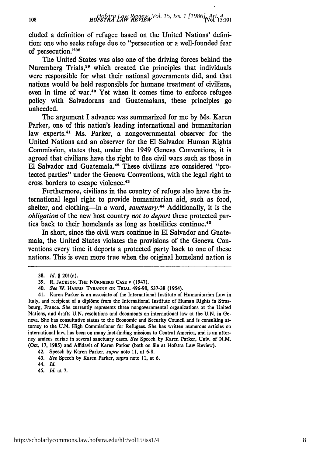cluded a definition of refugee based on the United Nations' definition: one who seeks refuge due to "persecution or a well-founded fear of persecution."38

The United States was also one of the driving forces behind the Nuremberg Trials,<sup>39</sup> which created the principles that individuals were responsible for what their national governments did, and that nations would be held responsible for humane treatment of civilians, even in time of war.<sup>40</sup> Yet when it comes time to enforce refugee policy with Salvadorans and Guatemalans, these principles go unheeded.

The argument I advance was summarized for me by Ms. Karen Parker, one of this nation's leading international and humanitarian law experts.<sup>41</sup> Ms. Parker, a nongovernmental observer for the United Nations and an observer for the El Salvador Human Rights Commission, states that, under the 1949 Geneva Conventions, it is agreed that civilians have the right to flee civil wars such as those in El Salvador and Guatemala.<sup>42</sup> These civilians are considered "protected parties" under the Geneva Conventions, with the legal right to cross borders to escape violence.<sup>43</sup>

Furthermore, civilians in the country of refuge also have the international legal right to provide humanitarian aid, such as food, shelter, and clothing—in a word, *sanctuary*.<sup>44</sup> Additionally, it is the *obligation* of the new host country *not to deport* these protected parties back to their homelands as long as hostilities continue.<sup>45</sup>

In short, since the civil wars continue in El Salvador and Guatemala, the United States violates the provisions of the Geneva Conventions every time it deports a protected party back to one of these nations. This is even more true when the original homeland nation is

**<sup>38.</sup>** *Id.* § 201(a).

**<sup>39.</sup>** R. **JACKSON, THE NORNBERG CASE** v (1947).

<sup>40.</sup> *See* W. HARRIS, **TYRANNY ON TRIAL** 496-98, 537-38 (1954).

<sup>41.</sup> Karen Parker is an associate of the International Institute of Humanitarian Law in Italy, and recipient of a dipl6me from the International Institute of Human Rights in Strasbourg, France. She currently represents three nongovernmental organizations at the United Nations, and drafts U.N. resolutions and documents on international law at the U.N. in Geneva. She has consultative status to the Economic and Security Council and is consulting attorney to the U.N. High Commissioner for Refugees. She has written numerous articles on international law, has been on many fact-finding missions to Central America, and is an attorney amicus curiae in several sanctuary cases. *See* Speech **by** Karen Parker, Univ. of **N.M.** (Oct. 17, 1985) and Affidavit of Karen Parker (both on file at Hofstra Law Review).

<sup>42.</sup> Speech by Karen Parker, supra note **11,** at 6-8.

<sup>43.</sup> *See* Speech **by** Karen Parker, *supra* note 11, at 6.

<sup>44.</sup> *Id.*

<sup>45.</sup> *Id.* at 7.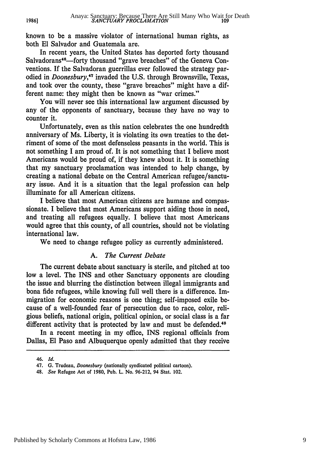known to be a massive violator of international human rights, as both El Salvador and Guatemala are.

In recent years, the United States has deported forty thousand Salvadorans<sup>46</sup>-forty thousand "grave breaches" of the Geneva Conventions. If the Salvadoran guerrillas ever followed the strategy parodied in *Doonesbury,47* invaded the U.S. through Brownsville, Texas, and took over the county, these "grave breaches" might have a different name: they might then be known as "war crimes. **"**

You will never see this international law argument discussed by any of the opponents of sanctuary, because they have no way to counter it.

Unfortunately, even as this nation celebrates the one hundredth anniversary of Ms. Liberty, it is violating its own treaties to the detriment of some of the most defenseless peasants in the world. This is not something I am proud of. It is not something that I believe most Americans would be proud of, if they knew about it. It is something that my sanctuary proclamation was intended to help change, by creating a national debate on the Central American refugee/sanctuary issue. And it is a situation that the legal profession can help illuminate for all American citizens.

I believe that most American citizens are humane and compassionate. I believe that most Americans support aiding those in need, and treating all refugees equally. I believe that most Americans would agree that this county, of all countries, should not be violating international law.

We need to change refugee policy as currently administered.

#### *A. The Current Debate*

The current debate about sanctuary is sterile, and pitched at too low a level. The INS and other Sanctuary opponents are clouding the issue and blurring the distinction between illegal immigrants and bona fide refugees, while knowing full well there is a difference. Immigration for economic reasons is one thing; self-imposed exile because of a well-founded fear of persecution due to race, color, religious beliefs, national origin, political opinion, or social class is a far different activity that is protected by law and must be defended.<sup>48</sup>

In a recent meeting in my office, INS regional officials from Dallas, **El** Paso and Albuquerque openly admitted that they receive

**1986]**

<sup>46.</sup> *Id.*

<sup>47.</sup> **G.** Trudeau, Doonesbury (nationally syndicated political cartoon).

<sup>48.</sup> *See* Refugee Act of **1980, Pub. L.** No. **96-212,** 94 Stat. 102.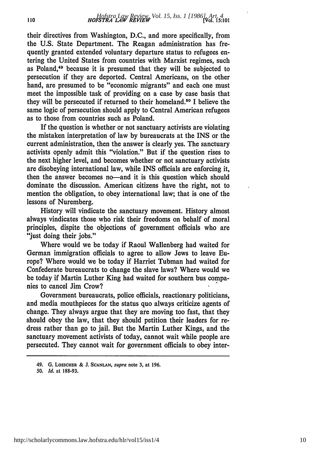their directives from Washington, **D.C.,** and more specifically, from the U.S. State Department. The Reagan administration has frequently granted extended voluntary departure status to refugees entering the United States from countries with Marxist regimes, such as Poland,<sup>49</sup> because it is presumed that they will be subjected to persecution if they are deported. Central Americans, on the other hand, are presumed to be "economic migrants" and each one must meet the impossible task of providing on a case by case basis that they will be persecuted if returned to their homeland.<sup>50</sup> I believe the same logic of persecution should apply to Central American refugees as to those from countries such as Poland.

If the question is whether or not sanctuary activists are violating the mistaken interpretation of law by bureaucrats at the INS or the current administration, then the answer is clearly yes. The sanctuary activists openly admit this "violation." But if the question rises to the next higher level, and becomes whether or not sanctuary activists are disobeying international law, while INS officials are enforcing it, then the answer becomes no--and it is this question which should dominate the discussion. American citizens have the right, not to mention the obligation, to obey international law; that is one of the lessons of Nuremberg.

History will vindicate the sanctuary movement. History almost always vindicates those who risk their freedoms on behalf of moral principles, dispite the objections of government officials who are "just doing their jobs."

Where would we be today if Raoul Wallenberg had waited for German immigration officials to agree to allow Jews to leave Europe? Where would we be today if Harriet Tubman had waited for Confederate bureaucrats to change the slave laws? Where would we be today if Martin Luther King had waited for southern bus companies to cancel Jim Crow?

Government bureaucrats, police officials, reactionary politicians, and media mouthpieces for the status quo always criticize agents of change. They always argue that they are moving too fast, that they should obey the law, that they should petition their leaders for redress rather than go to jail. But the Martin Luther Kings, and the sanctuary movement activists of today, cannot wait while people are persecuted. They cannot wait for government officials to obey inter-

**<sup>49.</sup> G. LOESCHER & J. SCANLAN,** supra note 3, **at 196.**

*<sup>50.</sup> Id.* **at 188-93.**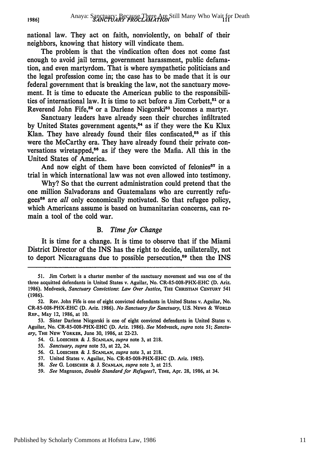national law. They act on faith, nonviolently, on behalf of their neighbors, knowing that history will vindicate them.

The problem is that the vindication often does not come fast enough to avoid jail terms, government harassment, public defamation, and even martyrdom. That is where sympathetic politicians and the legal profession come in; the case has to be made that it is our federal government that is breaking the law, not the sanctuary movement. It is time to educate the American public to the responsibilities of international law. It is time to act before a Jim Corbett,<sup>51</sup> or a Reverend John Fife,<sup>52</sup> or a Darlene Nicgorski<sup>53</sup> becomes a martyr.

Sanctuary leaders have already seen their churches infiltrated by United States government agents,<sup>54</sup> as if they were the Ku Klux Klan. They have already found their files confiscated,<sup>55</sup> as if this were the McCarthy era. They have already found their private conversations wiretapped,<sup>56</sup> as if they were the Mafia. All this in the United States of America.

And now eight of them have been convicted of felonies<sup>57</sup> in a trial in which international law was not even allowed into testimony.

Why? So that the current administration could pretend that the one million Salvadorans and Guatemalans who are currently refugees<sup>58</sup> are *all* only economically motivated. So that refugee policy, which Americans assume is based on humanitarian concerns, can remain a tool of the cold war.

#### *B. Time for Change*

It is time for a change. It is time to observe that if the Miami District Director of the INS has the right to decide, unilaterally, not to deport Nicaraguans due to possible persecution,<sup>59</sup> then the INS

55. *Sanctuary, supra* note 53, at 22, 24.

58. *See* G. LOESCHER **& J. SCANLAN,** *supra* note 3, at 215.

**1986]**

<sup>51.</sup> Jim Corbett is a charter member of the sanctuary movement and was one of the three acquitted defendants in United States v. Aguilar, No. CR-85-008-PHX-EHC **(D.** Ariz. 1986). Medvesck, *Sanctuary Convictions: Law Over Justice,* **THE CHRISTIAN CENTURY** 541 (1986).

<sup>52.</sup> Rev. John Fife is one of eight convicted defendants in United States v. Aguilar, No. CR-85-008-PHX-EHC (D. Ariz. 1986). *No Sanctuary for Sanctuary,* **US.** NEws & WORLD RaP., May 12, 1986, at **10.**

<sup>53.</sup> Sister Darlene Nicgorski is one of eight convicted defendants in United States v. Aguilar, No. CR-85-008-PHX-EHC (D. Ariz. 1986). *See* Medvesck, *supra* note **51;** *Sanctuary,* **THE** NEw YORKER, June 30, 1986, at 22-23.

<sup>54.</sup> G. LOESCHER **& J. SCANLAN,** *supra* note 3, at 218.

<sup>56.</sup> G. LOESCHER **& J. SCANLAN,** *supra* note 3, at 218.

<sup>57.</sup> United States v. Aguilar, No. CR-85-008-PHX-EHC (D. Ariz. 1985).

<sup>59.</sup> *See* Magnuson, *Double Standard for Refugees?,* TIME, Apr. 28, 1986, at 34.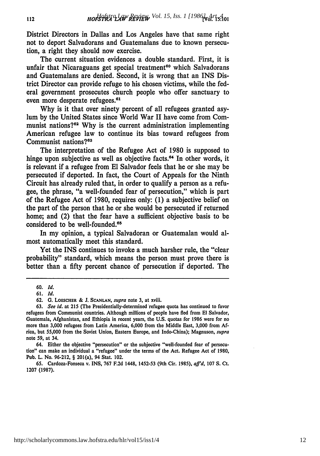District Directors in Dallas and Los Angeles have that same right not to deport Salvadorans and Guatemalans due to known persecution, a right they should now exercise.

The current situation evidences a double standard. First, it is unfair that Nicaraguans get special treatment<sup>60</sup> which Salvadorans and Guatemalans are denied. Second, it is wrong that an INS District Director can provide refuge to his chosen victims, while the federal government prosecutes church people who offer sanctuary to even more desperate refugees.<sup>61</sup>

**Why** is it that over ninety percent of all refugees granted asylum **by** the United States since World War II have come from Communist nations?<sup>62</sup> Why is the current administration implementing American refugee law to continue its bias toward refugees from Communist nations?<sup>63</sup>

The interpretation of the Refugee Act of **1980** is supposed to hinge upon subjective as well as objective facts.<sup>64</sup> In other words, it is relevant if a refugee from **El** Salvador feels that he or she may be persecuted if deported. In fact, the Court of Appeals for the Ninth Circuit has already ruled that, in order to qualify a person as a refugee, the phrase, "a well-founded fear of persecution," which is part of the Refugee Act of **1980,** requires only: **(1)** a subjective belief on the part of the person that he or she would be persecuted if returned home; and (2) that the fear have a sufficient objective basis to be considered to be well-founded.<sup>65</sup>

In my opinion, a typical Salvadoran or Guatemalan would almost automatically meet this standard.

Yet the INS continues to invoke a much harsher rule, the "clear probability" standard, which means the person must prove there is better than a **fifty** percent chance of persecution if deported. The

64. Either the objective "persecution" or the subjective "well-founded fear of persecution" can make an individual a "refugee" under the terms of the Act. Refugee Act of **1980,** Pub. L. No. **96-212,** § 201(a), 94 Stat. 102.

**65.** Cardoza-Fonseca v. INS, **767 F.2d** 1448, **1452-53** (9th Cir. **1985),** *affd,* **107 S.** Ct. **1207 (1987).**

**<sup>60.</sup> Id.**

**<sup>61.</sup>** *Id.*

**<sup>62.</sup> G.** LOESCHER **& J. SCANLAN,** *supra* note **3,** at xviii.

**<sup>63.</sup>** *See Id.* at 215 (The Presidentially-determined refugee quota has continued to favor refugees from Communist countries. Although millions of people have fled from **El** Salvador, Guatemala, Afghanistan, and Ethiopia in recent years, the **U.S.** quotas for **1986** were for no more than **3,000** refugees from Latin America, **6,000** from the Middle East, **3,000** from **Af**rica, but **55,000** from the Soviet Union, Eastern Europe, and Indo-China); Magnuson, *supra* note **59,** at 34.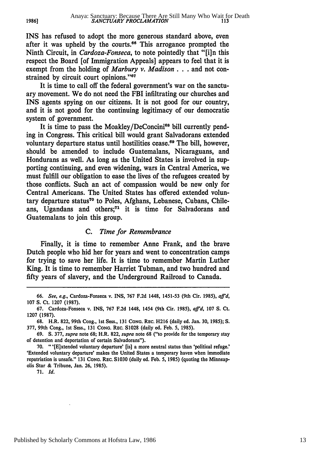INS has refused to adopt the more generous standard above, even after it was upheld by the courts.<sup>66</sup> This arrogance prompted the Ninth Circuit, in *Cardoza-Fonseca,* to note pointedly that "[i]n this respect the Board [of Immigration Appeals] appears to feel that it is exempt from the holding of *Marbury v. Madison* . . . and not constrained by circuit court opinions."<sup>67</sup>

It is time to call off the federal government's war on the sanctuary movement. We do not need the FBI infiltrating our churches and INS agents spying on our citizens. It is not good for our country, and it is not good for the continuing legitimacy of our democratic system of government.

It is time to pass the Moakley/DeConcini<sup>68</sup> bill currently pending in Congress. This critical bill would grant Salvadorans extended voluntary departure status until hostilities cease.<sup>69</sup> The bill, however, should be amended to include Guatemalans, Nicaraguans, and Hondurans as well. As long as the United States is involved in supporting continuing, and even widening, wars in Central America, we must fulfill our obligation to ease the lives of the refugees created by those conflicts. Such an act of compassion would be new only for Central Americans. The United States has offered extended voluntary departure status<sup>70</sup> to Poles, Afghans, Lebanese, Cubans, Chileans, Ugandans and others;<sup>71</sup> it is time for Salvadorans and Guatemalans to join this group.

#### *C. Time for Remembrance*

Finally, it is time to remember Anne Frank, and the brave Dutch people who hid her for years and went to concentration camps for trying to save her life. It is time to remember Martin Luther King. It is time to remember Harriet Tubman, and two hundred and fifty years of slavery, and the Underground Railroad to Canada.

**1986]**

**<sup>66.</sup>** See, e.g., Cardoza-Fonseca v. **INS, 767 F.2d** 1448, **1451-53** (9th Cir. **1985),** *affd,* **107 S.** Ct. **1207 (1987).**

**<sup>67.</sup>** Cardoza-Fonseca v. **INS, 767 F.2d** 1448, 1454 (9th Cir. **1985),** *affd,* **107 S.** Ct. 1207 (1987).

<sup>68.</sup> H.R. 822, 99th Cong., **1st** Sess., **131 CONG.** REc. H216 (daily ed. Jan. **30,** 1985); S. **377,** 99th Cong., **1st** Sess., **131 CONG.** REC. **S1028** (daily **ed. Feb. 5,** 1985).

**<sup>69.</sup>** S. **377,** *supra* note **68;** H.R. **822,** *supra* note **68** ("to provide for the temporary stay of detention and deportation of certain Salvadorans").

**<sup>70.</sup>** "'[E]xtended voluntary departure' [is] a more neutral status than 'political refuge.' 'Extended voluntary departure' makes the United States a temporary haven when immediate repatriation is unsafe." **131 CONG.** REc. **S1030** (daily ed. Feb. **5,** 1985) (quoting the Minneapolis Star & Tribune, Jan. **26,** 1985).

**<sup>71.</sup>** *Id.*